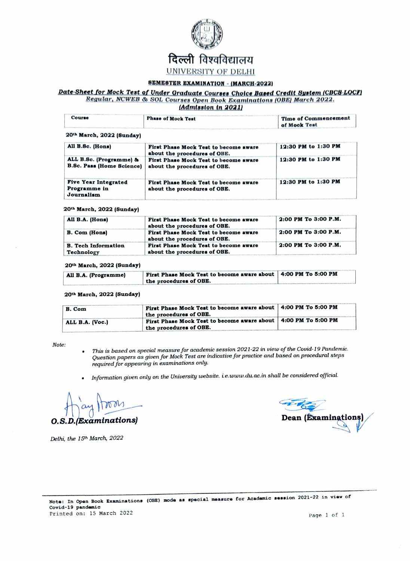

## SEMESTER EXAMINATION - (MARCH-2022)

## Date-Sheet for Mock Test of Under Graduate Courses Choice Based Credit System (CBCS-LOCF) Regular, NCWEB & SOL Courses Open Book Examinations (OBE) March 2022. (Admission in 2021)

| Course                                                      | <b>Phase of Mook Test</b>                                             | Time of Commencement<br>of Mock Test |
|-------------------------------------------------------------|-----------------------------------------------------------------------|--------------------------------------|
| 20th March, 2022 (Sunday)                                   |                                                                       |                                      |
| All B.Sc. (Hons)                                            | First Phase Mock Test to become aware<br>about the procedures of OBE. | 12:30 PM to 1:30 PM                  |
| ALL B.Sc. (Programme) &<br><b>B.Sc. Pass (Home Science)</b> | First Phase Mock Test to become aware<br>about the procedures of OBE. | 12:30 PM to 1:30 PM                  |
| <b>Five Year Integrated</b><br>Programme in<br>Journalism   | First Phase Mock Test to become aware<br>about the procedures of OBE. | 12:30 PM to 1:30 PM                  |

## 20th March, 2022 (Sunday)

| All B.A. (Hons)                          | First Phase Mock Test to become aware<br>about the procedures of OBE. | 2:00 PM To 3:00 P.M. |
|------------------------------------------|-----------------------------------------------------------------------|----------------------|
| <b>B.</b> Com (Hons)                     | First Phase Mock Test to become aware<br>about the procedures of OBE. | 2:00 PM To 3:00 P.M. |
| <b>B.</b> Tech Information<br>Technology | First Phase Mock Test to become aware<br>about the procedures of OBE. | 2:00 PM To 3:00 P.M. |

### 20th March, 2022 (Sunday)

| All B.A. (Programme) | First Phase Mock Test to become aware about   4:00 PM To 5:00 PM |  |
|----------------------|------------------------------------------------------------------|--|
|                      | the procedures of OBE.                                           |  |

## 20th March, 2022 (Sunday)

| B. Com          | First Phase Mock Test to become aware about   4:00 PM To 5:00 PM<br>the procedures of OBE. |  |
|-----------------|--------------------------------------------------------------------------------------------|--|
| ALL B.A. (Voc.) | First Phase Mock Test to become aware about   4:00 PM To 5:00 PM<br>the procedures of OBE. |  |

Note:

- This is based on special measure for academic session 2021-22 in view of the Covid-19 Pandemic. Question papers as given for Mock Test are indicative for practice and based on procedural steps required for appearing in examinations only.
- Information given only on the University website. i.e.www.du.ac.in shall be considered official.

O.S.D.(Examinations)

Delhi, the 15th March, 2022

**Dean (Examinations**